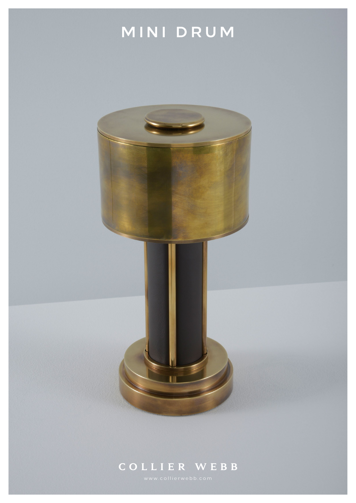

## **COLLIER WEBB**